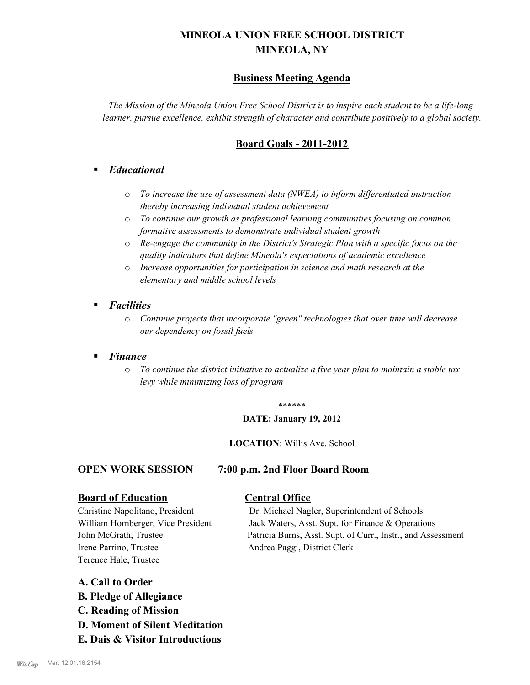# **MINEOLA UNION FREE SCHOOL DISTRICT MINEOLA, NY**

## **Business Meeting Agenda**

*The Mission of the Mineola Union Free School District is to inspire each student to be a life-long learner, pursue excellence, exhibit strength of character and contribute positively to a global society.*

## **Board Goals - 2011-2012**

## § *Educational*

- o *To increase the use of assessment data (NWEA) to inform differentiated instruction thereby increasing individual student achievement*
- o *To continue our growth as professional learning communities focusing on common formative assessments to demonstrate individual student growth*
- o *Re-engage the community in the District's Strategic Plan with a specific focus on the quality indicators that define Mineola's expectations of academic excellence*
- o *Increase opportunities for participation in science and math research at the elementary and middle school levels*
- *Facilities* 
	- o *Continue projects that incorporate "green" technologies that over time will decrease our dependency on fossil fuels*

### § *Finance*

o *To continue the district initiative to actualize a five year plan to maintain a stable tax levy while minimizing loss of program*

### \*\*\*\*\*\*

### **DATE: January 19, 2012**

**LOCATION**: Willis Ave. School

### **OPEN WORK SESSION 7:00 p.m. 2nd Floor Board Room**

### **Board of Education Central Office**

Irene Parrino, Trustee Andrea Paggi, District Clerk Terence Hale, Trustee

Christine Napolitano, President Dr. Michael Nagler, Superintendent of Schools William Hornberger, Vice President Jack Waters, Asst. Supt. for Finance & Operations John McGrath, Trustee Patricia Burns, Asst. Supt. of Curr., Instr., and Assessment

### **A. Call to Order**

- **B. Pledge of Allegiance**
- **C. Reading of Mission**
- **D. Moment of Silent Meditation**
- **E. Dais & Visitor Introductions**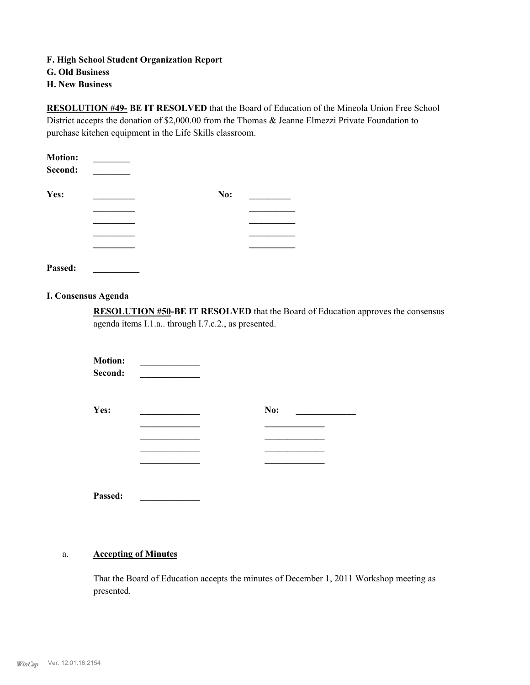**F. High School Student Organization Report**

**G. Old Business**

**H. New Business**

**RESOLUTION #49- BE IT RESOLVED** that the Board of Education of the Mineola Union Free School District accepts the donation of \$2,000.00 from the Thomas & Jeanne Elmezzi Private Foundation to purchase kitchen equipment in the Life Skills classroom.

| <b>Motion:</b> |     |  |
|----------------|-----|--|
| Second:        |     |  |
| Yes:           | No: |  |
|                |     |  |
|                |     |  |
|                |     |  |
|                |     |  |

**Passed: \_\_\_\_\_\_\_\_\_\_**

### **I. Consensus Agenda**

**RESOLUTION #50-BE IT RESOLVED** that the Board of Education approves the consensus agenda items I.1.a.. through I.7.c.2., as presented.

**Motion:**  $\bf Second:$ 

| No: |
|-----|
|     |
|     |
|     |
|     |
|     |

**Passed: \_\_\_\_\_\_\_\_\_\_\_\_\_**

#### **Accepting of Minutes** a.

That the Board of Education accepts the minutes of December 1, 2011 Workshop meeting as presented.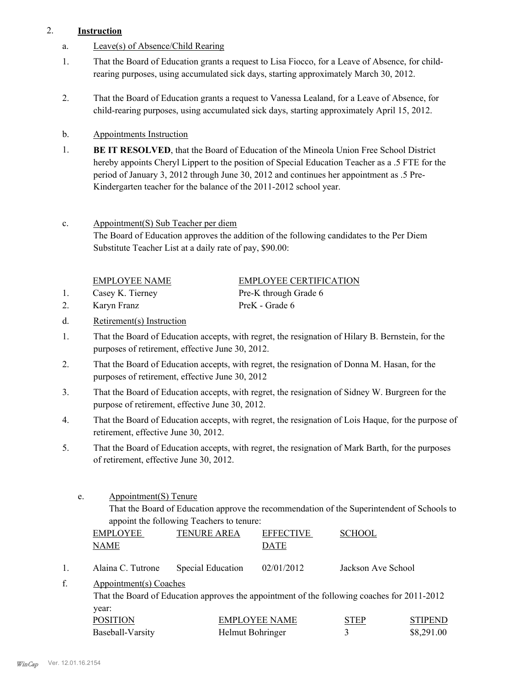### 2. **Instruction**

- a. Leave(s) of Absence/Child Rearing
- That the Board of Education grants a request to Lisa Fiocco, for a Leave of Absence, for childrearing purposes, using accumulated sick days, starting approximately March 30, 2012. 1.
- That the Board of Education grants a request to Vanessa Lealand, for a Leave of Absence, for child-rearing purposes, using accumulated sick days, starting approximately April 15, 2012. 2.
- b. Appointments Instruction
- **BE IT RESOLVED**, that the Board of Education of the Mineola Union Free School District hereby appoints Cheryl Lippert to the position of Special Education Teacher as a .5 FTE for the period of January 3, 2012 through June 30, 2012 and continues her appointment as .5 Pre-Kindergarten teacher for the balance of the 2011-2012 school year. 1.
- Appointment(S) Sub Teacher per diem c.

The Board of Education approves the addition of the following candidates to the Per Diem Substitute Teacher List at a daily rate of pay, \$90.00:

|    | <b>EMPLOYEE NAME</b> | <b>EMPLOYEE CERTIFICATION</b> |
|----|----------------------|-------------------------------|
|    | Casey K. Tierney     | Pre-K through Grade 6         |
| 2. | Karyn Franz          | PreK - Grade 6                |

- d. Retirement(s) Instruction
- That the Board of Education accepts, with regret, the resignation of Hilary B. Bernstein, for the purposes of retirement, effective June 30, 2012. 1.
- That the Board of Education accepts, with regret, the resignation of Donna M. Hasan, for the purposes of retirement, effective June 30, 2012 2.
- That the Board of Education accepts, with regret, the resignation of Sidney W. Burgreen for the purpose of retirement, effective June 30, 2012. 3.
- That the Board of Education accepts, with regret, the resignation of Lois Haque, for the purpose of retirement, effective June 30, 2012. 4.
- That the Board of Education accepts, with regret, the resignation of Mark Barth, for the purposes of retirement, effective June 30, 2012. 5.
	- Appointment(S) Tenure e.

That the Board of Education approve the recommendation of the Superintendent of Schools to appoint the following Teachers to tenure:

|                                                                                                                             | <b>EMPLOYEE</b><br><b>NAME</b> | <b>TENURE AREA</b> | <b>EFFECTIVE</b><br><b>DATE</b> | <b>SCHOOL</b>      |                |
|-----------------------------------------------------------------------------------------------------------------------------|--------------------------------|--------------------|---------------------------------|--------------------|----------------|
|                                                                                                                             | Alaina C. Tutrone              | Special Education  | 02/01/2012                      | Jackson Ave School |                |
| f.<br>Appointment(s) Coaches<br>That the Board of Education approves the appointment of the following coaches for 2011-2012 |                                |                    |                                 |                    |                |
|                                                                                                                             | year:<br>POSITION              |                    | <b>EMPLOYEE NAME</b>            | STEP               | <b>STIPEND</b> |

Baseball-Varsity Helmut Bohringer 3 \$8,291.00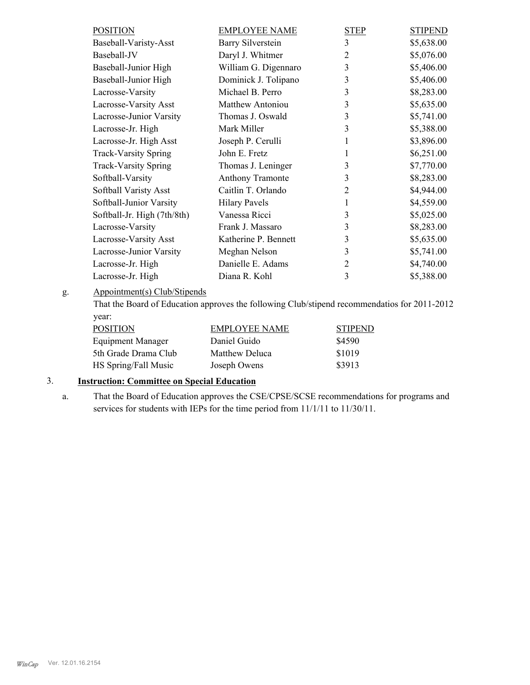| <b>POSITION</b>             | <b>EMPLOYEE NAME</b>     | <b>STEP</b>    | <b>STIPEND</b> |
|-----------------------------|--------------------------|----------------|----------------|
| Baseball-Varisty-Asst       | <b>Barry Silverstein</b> | 3              | \$5,638.00     |
| Baseball-JV                 | Daryl J. Whitmer         | $\overline{2}$ | \$5,076.00     |
| Baseball-Junior High        | William G. Digennaro     | 3              | \$5,406.00     |
| Baseball-Junior High        | Dominick J. Tolipano     | 3              | \$5,406.00     |
| Lacrosse-Varsity            | Michael B. Perro         | 3              | \$8,283.00     |
| Lacrosse-Varsity Asst       | <b>Matthew Antoniou</b>  | 3              | \$5,635.00     |
| Lacrosse-Junior Varsity     | Thomas J. Oswald         | 3              | \$5,741.00     |
| Lacrosse-Jr. High           | Mark Miller              | 3              | \$5,388.00     |
| Lacrosse-Jr. High Asst      | Joseph P. Cerulli        | 1              | \$3,896.00     |
| <b>Track-Varsity Spring</b> | John E. Fretz            | 1              | \$6,251.00     |
| <b>Track-Varsity Spring</b> | Thomas J. Leninger       | 3              | \$7,770.00     |
| Softball-Varsity            | <b>Anthony Tramonte</b>  | 3              | \$8,283.00     |
| Softball Varisty Asst       | Caitlin T. Orlando       | 2              | \$4,944.00     |
| Softball-Junior Varsity     | <b>Hilary Pavels</b>     | 1              | \$4,559.00     |
| Softball-Jr. High (7th/8th) | Vanessa Ricci            | 3              | \$5,025.00     |
| Lacrosse-Varsity            | Frank J. Massaro         | 3              | \$8,283.00     |
| Lacrosse-Varsity Asst       | Katherine P. Bennett     | 3              | \$5,635.00     |
| Lacrosse-Junior Varsity     | Meghan Nelson            | 3              | \$5,741.00     |
| Lacrosse-Jr. High           | Danielle E. Adams        | 2              | \$4,740.00     |
| Lacrosse-Jr. High           | Diana R. Kohl            | 3              | \$5,388.00     |
|                             |                          |                |                |

#### Appointment(s) Club/Stipends g.

That the Board of Education approves the following Club/stipend recommendatios for 2011-2012 year:

| <b>POSITION</b>          | <b>EMPLOYEE NAME</b> | <b>STIPEND</b> |
|--------------------------|----------------------|----------------|
| <b>Equipment Manager</b> | Daniel Guido         | \$4590         |
| 5th Grade Drama Club     | Matthew Deluca       | \$1019         |
| HS Spring/Fall Music     | Joseph Owens         | \$3913         |

## 3. **Instruction: Committee on Special Education**

That the Board of Education approves the CSE/CPSE/SCSE recommendations for programs and services for students with IEPs for the time period from 11/1/11 to 11/30/11. a.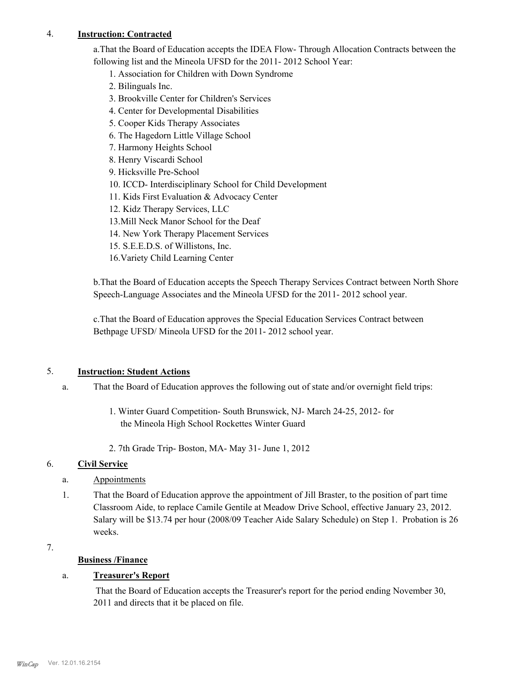### 4. **Instruction: Contracted**

a.That the Board of Education accepts the IDEA Flow- Through Allocation Contracts between the following list and the Mineola UFSD for the 2011- 2012 School Year:

1. Association for Children with Down Syndrome

- 2. Bilinguals Inc.
- 3. Brookville Center for Children's Services
- 4. Center for Developmental Disabilities
- 5. Cooper Kids Therapy Associates
- 6. The Hagedorn Little Village School
- 7. Harmony Heights School
- 8. Henry Viscardi School
- 9. Hicksville Pre-School
- 10. ICCD- Interdisciplinary School for Child Development
- 11. Kids First Evaluation & Advocacy Center
- 12. Kidz Therapy Services, LLC
- 13.Mill Neck Manor School for the Deaf
- 14. New York Therapy Placement Services
- 15. S.E.E.D.S. of Willistons, Inc.
- 16.Variety Child Learning Center

b.That the Board of Education accepts the Speech Therapy Services Contract between North Shore Speech-Language Associates and the Mineola UFSD for the 2011- 2012 school year.

c.That the Board of Education approves the Special Education Services Contract between Bethpage UFSD/ Mineola UFSD for the 2011- 2012 school year.

### 5. **Instruction: Student Actions**

- That the Board of Education approves the following out of state and/or overnight field trips: a.
	- 1. Winter Guard Competition- South Brunswick, NJ- March 24-25, 2012- for the Mineola High School Rockettes Winter Guard
	- 2. 7th Grade Trip- Boston, MA- May 31- June 1, 2012

### 6. **Civil Service**

- a. Appointments
- That the Board of Education approve the appointment of Jill Braster, to the position of part time Classroom Aide, to replace Camile Gentile at Meadow Drive School, effective January 23, 2012. Salary will be \$13.74 per hour (2008/09 Teacher Aide Salary Schedule) on Step 1. Probation is 26 weeks. 1.
- 7.

## **Business /Finance**

## a. **Treasurer's Report**

 That the Board of Education accepts the Treasurer's report for the period ending November 30, 2011 and directs that it be placed on file.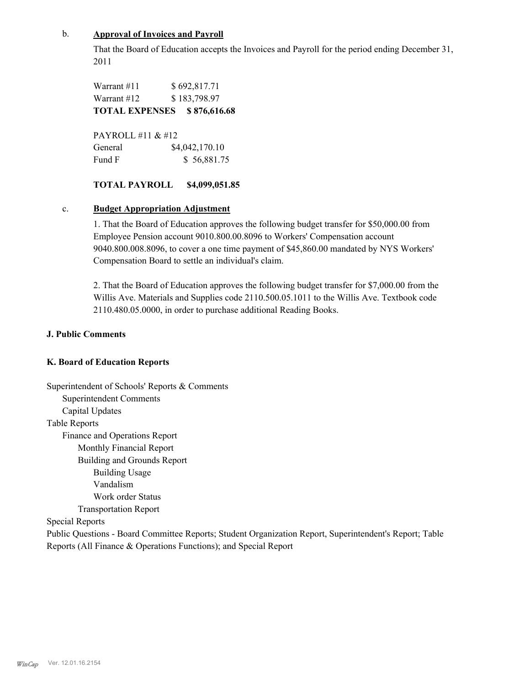### b. **Approval of Invoices and Payroll**

That the Board of Education accepts the Invoices and Payroll for the period ending December 31, 2011

Warrant #11 \$ 692,817.71 Warrant #12 \$ 183,798.97 **TOTAL EXPENSES \$ 876,616.68**

PAYROLL #11  $& 412$ General  $$4,042,170.10$ Fund F  $$56,881.75$ 

### **TOTAL PAYROLL \$4,099,051.85**

### c. **Budget Appropriation Adjustment**

1. That the Board of Education approves the following budget transfer for \$50,000.00 from Employee Pension account 9010.800.00.8096 to Workers' Compensation account 9040.800.008.8096, to cover a one time payment of \$45,860.00 mandated by NYS Workers' Compensation Board to settle an individual's claim.

2. That the Board of Education approves the following budget transfer for \$7,000.00 from the Willis Ave. Materials and Supplies code 2110.500.05.1011 to the Willis Ave. Textbook code 2110.480.05.0000, in order to purchase additional Reading Books.

### **J. Public Comments**

### **K. Board of Education Reports**

Superintendent of Schools' Reports & Comments Superintendent Comments Capital Updates Table Reports Finance and Operations Report Monthly Financial Report Building and Grounds Report Building Usage Vandalism Work order Status Transportation Report Special Reports Public Questions - Board Committee Reports; Student Organization Report, Superintendent's Report; Table Reports (All Finance & Operations Functions); and Special Report